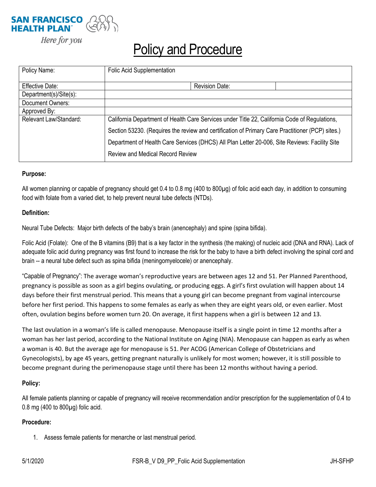

Here for you

# **Policy and Procedure**

| Policy Name:           | <b>Folic Acid Supplementation</b>                                                                                                                                                                 |                       |  |
|------------------------|---------------------------------------------------------------------------------------------------------------------------------------------------------------------------------------------------|-----------------------|--|
| Effective Date:        |                                                                                                                                                                                                   | <b>Revision Date:</b> |  |
| Department(s)/Site(s): |                                                                                                                                                                                                   |                       |  |
| Document Owners:       |                                                                                                                                                                                                   |                       |  |
| Approved By:           |                                                                                                                                                                                                   |                       |  |
| Relevant Law/Standard: | California Department of Health Care Services under Title 22, California Code of Regulations,<br>Section 53230. (Requires the review and certification of Primary Care Practitioner (PCP) sites.) |                       |  |
|                        |                                                                                                                                                                                                   |                       |  |
|                        | Department of Health Care Services (DHCS) All Plan Letter 20-006, Site Reviews: Facility Site                                                                                                     |                       |  |
|                        | <b>Review and Medical Record Review</b>                                                                                                                                                           |                       |  |

### **Purpose:**

All women planning or capable of pregnancy should get 0.4 to 0.8 mg (400 to 800µg) of folic acid each day, in addition to consuming food with folate from a varied diet, to help prevent neural tube defects (NTDs).

## **Definition:**

Neural Tube Defects: Major birth defects of the baby's brain (anencephaly) and spine (spina bifida).

Folic Acid (Folate): One of the B vitamins (B9) that is a key factor in the synthesis (the making) of nucleic acid (DNA and RNA). Lack of adequate folic acid during pregnancy was first found to increase the risk for the baby to have a birth defect involving the spinal cord and brain -- a neural tube defect such as spina bifida (meningomyelocele) or anencephaly.

"Capable of Pregnancy": The average woman's reproductive years are between ages 12 and 51. Per Planned Parenthood, pregnancy is possible as soon as a girl begins ovulating, or producing eggs. A girl's first ovulation will happen about 14 days before their first menstrual period. This means that a young girl can become pregnant from vaginal intercourse before her first period. This happens to some females as early as when they are eight years old, or even earlier. Most often, ovulation begins before women turn 20. On average, it first happens when a girl is between 12 and 13.

The last ovulation in a woman's life is called menopause. Menopause itself is a single point in time 12 months after a woman has her last period, according to the National Institute on Aging (NIA). Menopause can happen as early as when a woman is 40. But the average age for menopause is 51. Per ACOG (American College of Obstetricians and Gynecologists), by age 45 years, getting pregnant naturally is unlikely for most women; however, it is still possible to become pregnant during the perimenopause stage until there has been 12 months without having a period.

### **Policy:**

All female patients planning or capable of pregnancy will receive recommendation and/or prescription for the supplementation of 0.4 to 0.8 mg (400 to 800µg) folic acid.

### **Procedure:**

1. Assess female patients for menarche or last menstrual period.